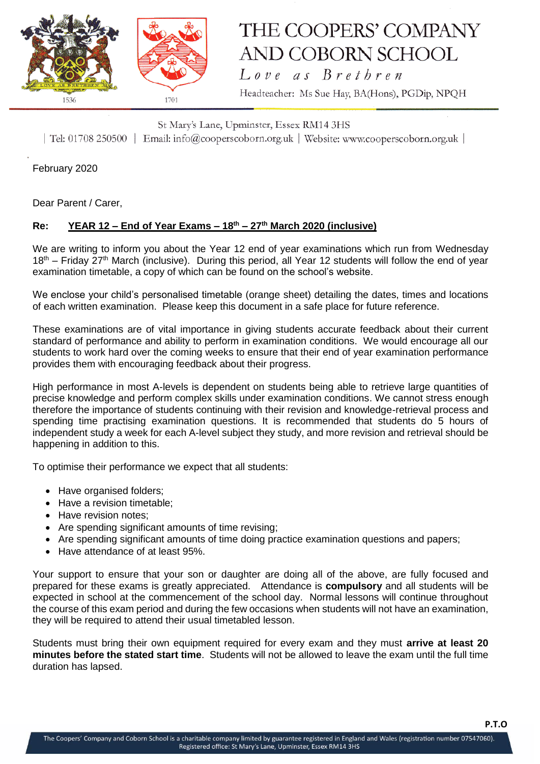

## THE COOPERS' COMPANY AND COBORN SCHOOL Love as Brethren

Headteacher: Ms Sue Hay, BA(Hons), PGDip, NPQH

St Mary's Lane, Upminster, Essex RM14 3HS | Tel: 01708 250500 | Email: info@cooperscoborn.org.uk | Website: www.cooperscoborn.org.uk |

February 2020

Dear Parent / Carer,

## **Re: YEAR 12 – End of Year Exams – 18th – 27th March 2020 (inclusive)**

We are writing to inform you about the Year 12 end of year examinations which run from Wednesday  $18<sup>th</sup>$  – Friday 27<sup>th</sup> March (inclusive). During this period, all Year 12 students will follow the end of year examination timetable, a copy of which can be found on the school's website.

We enclose your child's personalised timetable (orange sheet) detailing the dates, times and locations of each written examination. Please keep this document in a safe place for future reference.

These examinations are of vital importance in giving students accurate feedback about their current standard of performance and ability to perform in examination conditions. We would encourage all our students to work hard over the coming weeks to ensure that their end of year examination performance provides them with encouraging feedback about their progress.

High performance in most A-levels is dependent on students being able to retrieve large quantities of precise knowledge and perform complex skills under examination conditions. We cannot stress enough therefore the importance of students continuing with their revision and knowledge-retrieval process and spending time practising examination questions. It is recommended that students do 5 hours of independent study a week for each A-level subject they study, and more revision and retrieval should be happening in addition to this.

To optimise their performance we expect that all students:

- Have organised folders;
- Have a revision timetable:
- Have revision notes:
- Are spending significant amounts of time revising;
- Are spending significant amounts of time doing practice examination questions and papers;
- Have attendance of at least 95%.

Your support to ensure that your son or daughter are doing all of the above, are fully focused and prepared for these exams is greatly appreciated. Attendance is **compulsory** and all students will be expected in school at the commencement of the school day. Normal lessons will continue throughout the course of this exam period and during the few occasions when students will not have an examination, they will be required to attend their usual timetabled lesson.

Students must bring their own equipment required for every exam and they must **arrive at least 20 minutes before the stated start time**. Students will not be allowed to leave the exam until the full time duration has lapsed.